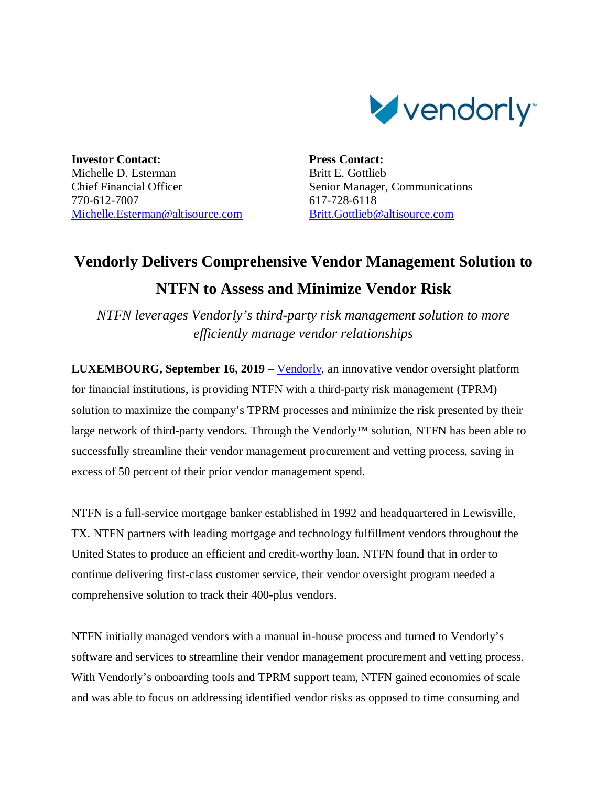

**Investor Contact:** Michelle D. Esterman Chief Financial Officer 770-612-7007 Michelle.Esterman@altisource.com **Press Contact:** Britt E. Gottlieb Senior Manager, Communications 617-728-6118 Britt.Gottlieb@altisource.com

## **Vendorly Delivers Comprehensive Vendor Management Solution to NTFN to Assess and Minimize Vendor Risk**

*NTFN leverages Vendorly's third-party risk management solution to more efficiently manage vendor relationships*

**LUXEMBOURG, September 16, 2019** – Vendorly, an innovative vendor oversight platform for financial institutions, is providing NTFN with a third-party risk management (TPRM) solution to maximize the company's TPRM processes and minimize the risk presented by their large network of third-party vendors. Through the Vendorly™ solution, NTFN has been able to successfully streamline their vendor management procurement and vetting process, saving in excess of 50 percent of their prior vendor management spend.

NTFN is a full-service mortgage banker established in 1992 and headquartered in Lewisville, TX. NTFN partners with leading mortgage and technology fulfillment vendors throughout the United States to produce an efficient and credit-worthy loan. NTFN found that in order to continue delivering first-class customer service, their vendor oversight program needed a comprehensive solution to track their 400-plus vendors.

NTFN initially managed vendors with a manual in-house process and turned to Vendorly's software and services to streamline their vendor management procurement and vetting process. With Vendorly's onboarding tools and TPRM support team, NTFN gained economies of scale and was able to focus on addressing identified vendor risks as opposed to time consuming and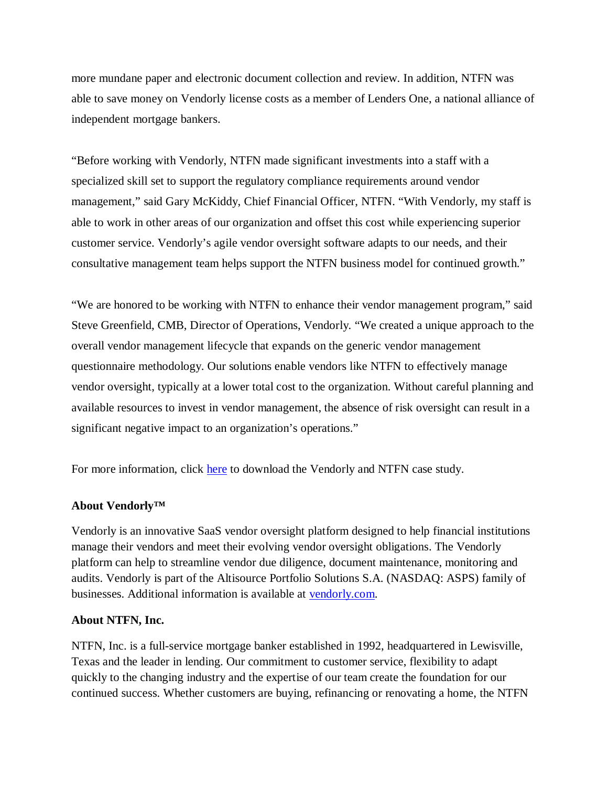more mundane paper and electronic document collection and review. In addition, NTFN was able to save money on Vendorly license costs as a member of Lenders One, a national alliance of independent mortgage bankers.

"Before working with Vendorly, NTFN made significant investments into a staff with a specialized skill set to support the regulatory compliance requirements around vendor management," said Gary McKiddy, Chief Financial Officer, NTFN. "With Vendorly, my staff is able to work in other areas of our organization and offset this cost while experiencing superior customer service. Vendorly's agile vendor oversight software adapts to our needs, and their consultative management team helps support the NTFN business model for continued growth."

"We are honored to be working with NTFN to enhance their vendor management program," said Steve Greenfield, CMB, Director of Operations, Vendorly. "We created a unique approach to the overall vendor management lifecycle that expands on the generic vendor management questionnaire methodology. Our solutions enable vendors like NTFN to effectively manage vendor oversight, typically at a lower total cost to the organization. Without careful planning and available resources to invest in vendor management, the absence of risk oversight can result in a significant negative impact to an organization's operations."

For more information, click here to download the Vendorly and NTFN case study.

## **About Vendorly™**

Vendorly is an innovative SaaS vendor oversight platform designed to help financial institutions manage their vendors and meet their evolving vendor oversight obligations. The Vendorly platform can help to streamline vendor due diligence, document maintenance, monitoring and audits. Vendorly is part of the Altisource Portfolio Solutions S.A. (NASDAQ: ASPS) family of businesses. Additional information is available at vendorly.com.

## **About NTFN, Inc.**

NTFN, Inc. is a full-service mortgage banker established in 1992, headquartered in Lewisville, Texas and the leader in lending. Our commitment to customer service, flexibility to adapt quickly to the changing industry and the expertise of our team create the foundation for our continued success. Whether customers are buying, refinancing or renovating a home, the NTFN